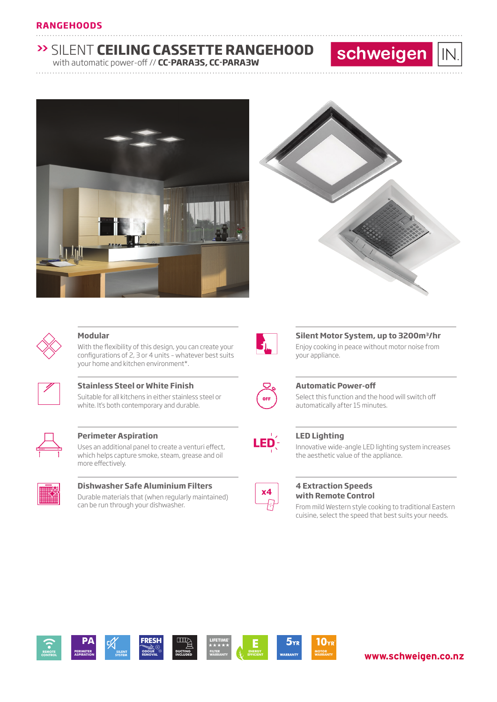# **>>** SILENT **CEILING CASSETTE RANGEHOOD**

............................................................................................................................... ............................

............................................................................................................................... ............................

with automatic power-off // **CC-PARA3S, CC-PARA3W**





schweigen

 $IN$ 



### **Modular**

With the flexibility of this design, you can create your configurations of 2, 3 or 4 units – whatever best suits your home and kitchen environment\*.



# **Stainless Steel or White Finish**

Suitable for all kitchens in either stainless steel or white. It's both contemporary and durable.



# **Perimeter Aspiration**

Uses an additional panel to create a venturi effect, which helps capture smoke, steam, grease and oil more effectively.



## **Dishwasher Safe Aluminium Filters** Durable materials that (when regularly maintained)

can be run through your dishwasher.



# **Silent Motor System, up to 3200m3/hr**

Enjoy cooking in peace without motor noise from your appliance.



### **Automatic Power-off**

Select this function and the hood will switch off automatically after 15 minutes.



## **LED Lighting**

Innovative wide-angle LED lighting system increases the aesthetic value of the appliance.



### **4 Extraction Speeds with Remote Control**

From mild Western style cooking to traditional Eastern cuisine, select the speed that best suits your needs.



# **www.schweigen.co.nz**